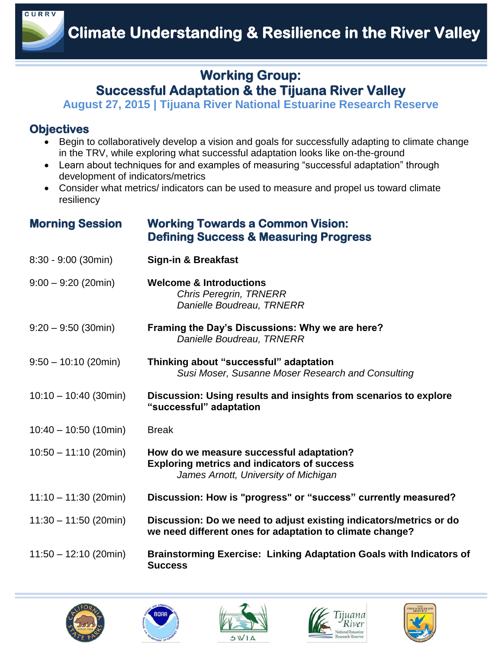

## **Working Group: Successful Adaptation & the Tijuana River Valley**

**August 27, 2015 | Tijuana River National Estuarine Research Reserve** 

## **Objectives**

- Begin to collaboratively develop a vision and goals for successfully adapting to climate change in the TRV, while exploring what successful adaptation looks like on-the-ground
- Learn about techniques for and examples of measuring "successful adaptation" through development of indicators/metrics
- Consider what metrics/ indicators can be used to measure and propel us toward climate resiliency

## **Morning Session Working Towards a Common Vision: Defining Success & Measuring Progress**

| 8:30 - 9:00 (30min)     | <b>Sign-in &amp; Breakfast</b>                                                                                                         |
|-------------------------|----------------------------------------------------------------------------------------------------------------------------------------|
| $9:00 - 9:20$ (20min)   | <b>Welcome &amp; Introductions</b><br><b>Chris Peregrin, TRNERR</b><br>Danielle Boudreau, TRNERR                                       |
| $9:20 - 9:50$ (30min)   | Framing the Day's Discussions: Why we are here?<br>Danielle Boudreau, TRNERR                                                           |
| $9:50 - 10:10$ (20min)  | Thinking about "successful" adaptation<br>Susi Moser, Susanne Moser Research and Consulting                                            |
| $10:10 - 10:40$ (30min) | Discussion: Using results and insights from scenarios to explore<br>"successful" adaptation                                            |
| $10:40 - 10:50$ (10min) | <b>Break</b>                                                                                                                           |
| $10:50 - 11:10$ (20min) | How do we measure successful adaptation?<br><b>Exploring metrics and indicators of success</b><br>James Arnott, University of Michigan |
| $11:10 - 11:30$ (20min) | Discussion: How is "progress" or "success" currently measured?                                                                         |
| $11:30 - 11:50$ (20min) | Discussion: Do we need to adjust existing indicators/metrics or do<br>we need different ones for adaptation to climate change?         |
| $11:50 - 12:10$ (20min) | <b>Brainstorming Exercise: Linking Adaptation Goals with Indicators of</b><br><b>Success</b>                                           |